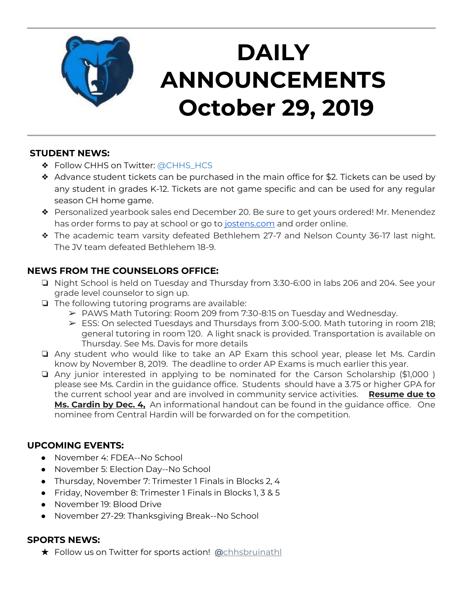

# **DAILY ANNOUNCEMENTS October 29, 2019**

### **STUDENT NEWS:**

- ❖ Follow CHHS on Twitter: [@CHHS\\_HCS](https://twitter.com/CHHS_HCS)
- ❖ Advance student tickets can be purchased in the main office for \$2. Tickets can be used by any student in grades K-12. Tickets are not game specific and can be used for any regular season CH home game.
- ❖ Personalized yearbook sales end December 20. Be sure to get yours ordered! Mr. Menendez has order forms to pay at school or go to [jostens.com](http://jostens.com/) and order online.
- ❖ The academic team varsity defeated Bethlehem 27-7 and Nelson County 36-17 last night. The JV team defeated Bethlehem 18-9.

### **NEWS FROM THE COUNSELORS OFFICE:**

- ❏ Night School is held on Tuesday and Thursday from 3:30-6:00 in labs 206 and 204. See your grade level counselor to sign up.
- ❏ The following tutoring programs are available:
	- $\triangleright$  PAWS Math Tutoring: Room 209 from 7:30-8:15 on Tuesday and Wednesday.
	- ➢ ESS: On selected Tuesdays and Thursdays from 3:00-5:00. Math tutoring in room 218; general tutoring in room 120. A light snack is provided. Transportation is available on Thursday. See Ms. Davis for more details
- ❏ Any student who would like to take an AP Exam this school year, please let Ms. Cardin know by November 8, 2019. The deadline to order AP Exams is much earlier this year.
- ❏ Any junior interested in applying to be nominated for the Carson Scholarship (\$1,000 ) please see Ms. Cardin in the guidance office. Students should have a 3.75 or higher GPA for the current school year and are involved in community service activities. **Resume due to Ms. Cardin by Dec. 4,** An informational handout can be found in the guidance office. One nominee from Central Hardin will be forwarded on for the competition.

#### **UPCOMING EVENTS:**

- November 4: FDEA--No School
- November 5: Election Day--No School
- Thursday, November 7: Trimester 1 Finals in Blocks 2, 4
- Friday, November 8: Trimester 1 Finals in Blocks 1, 3 & 5
- November 19: Blood Drive
- November 27-29: Thanksgiving Break--No School

#### **SPORTS NEWS:**

★ Follow us on Twitter for sports action! **[@](https://twitter.com/chhsbruinathl)**[chhsbruinathl](https://twitter.com/chhsbruinathl)